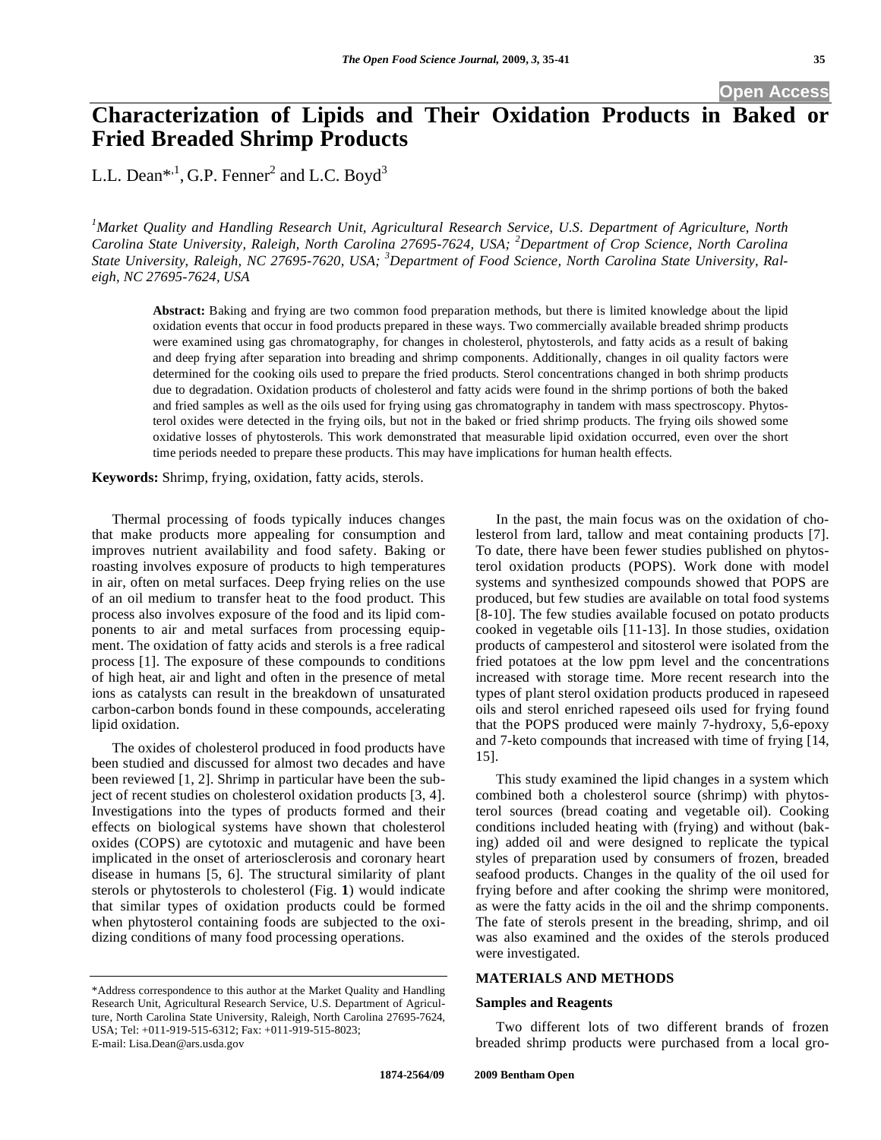## **Open Access**

# **Characterization of Lipids and Their Oxidation Products in Baked or Fried Breaded Shrimp Products**

L.L. Dean\*<sup>1</sup>, G.P. Fenner<sup>2</sup> and L.C. Boyd<sup>3</sup>

<sup>1</sup> Market Quality and Handling Research Unit, Agricultural Research Service, U.S. Department of Agriculture, North *Carolina State University, Raleigh, North Carolina 27695-7624, USA; <sup>2</sup> Department of Crop Science, North Carolina State University, Raleigh, NC 27695-7620, USA; <sup>3</sup> Department of Food Science, North Carolina State University, Raleigh, NC 27695-7624, USA* 

**Abstract:** Baking and frying are two common food preparation methods, but there is limited knowledge about the lipid oxidation events that occur in food products prepared in these ways. Two commercially available breaded shrimp products were examined using gas chromatography, for changes in cholesterol, phytosterols, and fatty acids as a result of baking and deep frying after separation into breading and shrimp components. Additionally, changes in oil quality factors were determined for the cooking oils used to prepare the fried products. Sterol concentrations changed in both shrimp products due to degradation. Oxidation products of cholesterol and fatty acids were found in the shrimp portions of both the baked and fried samples as well as the oils used for frying using gas chromatography in tandem with mass spectroscopy. Phytosterol oxides were detected in the frying oils, but not in the baked or fried shrimp products. The frying oils showed some oxidative losses of phytosterols. This work demonstrated that measurable lipid oxidation occurred, even over the short time periods needed to prepare these products. This may have implications for human health effects.

**Keywords:** Shrimp, frying, oxidation, fatty acids, sterols.

Thermal processing of foods typically induces changes that make products more appealing for consumption and improves nutrient availability and food safety. Baking or roasting involves exposure of products to high temperatures in air, often on metal surfaces. Deep frying relies on the use of an oil medium to transfer heat to the food product. This process also involves exposure of the food and its lipid components to air and metal surfaces from processing equipment. The oxidation of fatty acids and sterols is a free radical process [1]. The exposure of these compounds to conditions of high heat, air and light and often in the presence of metal ions as catalysts can result in the breakdown of unsaturated carbon-carbon bonds found in these compounds, accelerating lipid oxidation.

The oxides of cholesterol produced in food products have been studied and discussed for almost two decades and have been reviewed [1, 2]. Shrimp in particular have been the subject of recent studies on cholesterol oxidation products [3, 4]. Investigations into the types of products formed and their effects on biological systems have shown that cholesterol oxides (COPS) are cytotoxic and mutagenic and have been implicated in the onset of arteriosclerosis and coronary heart disease in humans [5, 6]. The structural similarity of plant sterols or phytosterols to cholesterol (Fig. **1**) would indicate that similar types of oxidation products could be formed when phytosterol containing foods are subjected to the oxidizing conditions of many food processing operations.

In the past, the main focus was on the oxidation of cholesterol from lard, tallow and meat containing products [7]. To date, there have been fewer studies published on phytosterol oxidation products (POPS). Work done with model systems and synthesized compounds showed that POPS are produced, but few studies are available on total food systems [8-10]. The few studies available focused on potato products cooked in vegetable oils [11-13]. In those studies, oxidation products of campesterol and sitosterol were isolated from the fried potatoes at the low ppm level and the concentrations increased with storage time. More recent research into the types of plant sterol oxidation products produced in rapeseed oils and sterol enriched rapeseed oils used for frying found that the POPS produced were mainly 7-hydroxy, 5,6-epoxy and 7-keto compounds that increased with time of frying [14, 15].

This study examined the lipid changes in a system which combined both a cholesterol source (shrimp) with phytosterol sources (bread coating and vegetable oil). Cooking conditions included heating with (frying) and without (baking) added oil and were designed to replicate the typical styles of preparation used by consumers of frozen, breaded seafood products. Changes in the quality of the oil used for frying before and after cooking the shrimp were monitored, as were the fatty acids in the oil and the shrimp components. The fate of sterols present in the breading, shrimp, and oil was also examined and the oxides of the sterols produced were investigated.

#### **MATERIALS AND METHODS**

#### **Samples and Reagents**

Two different lots of two different brands of frozen breaded shrimp products were purchased from a local gro-

<sup>\*</sup>Address correspondence to this author at the Market Quality and Handling Research Unit, Agricultural Research Service, U.S. Department of Agriculture, North Carolina State University, Raleigh, North Carolina 27695-7624, USA; Tel: +011-919-515-6312; Fax: +011-919-515-8023; E-mail: Lisa.Dean@ars.usda.gov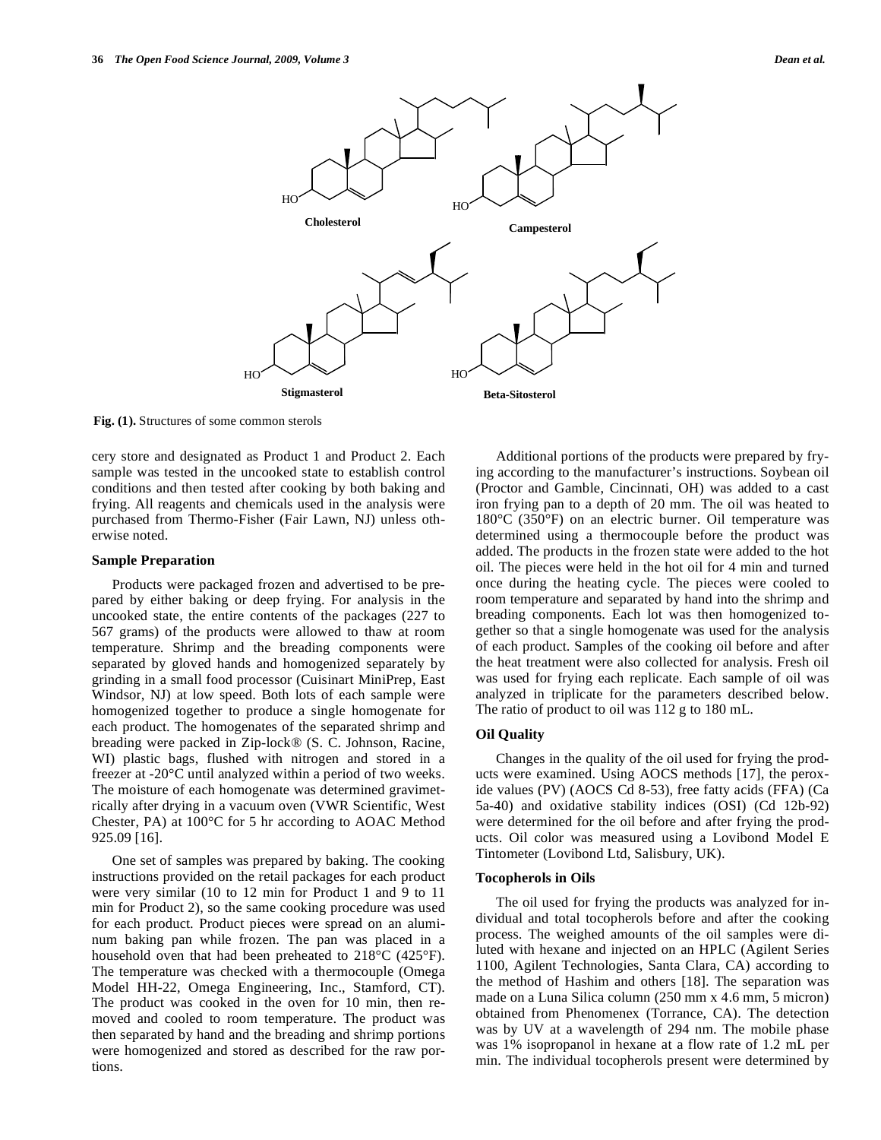

**Fig. (1).** Structures of some common sterols

cery store and designated as Product 1 and Product 2. Each sample was tested in the uncooked state to establish control conditions and then tested after cooking by both baking and frying. All reagents and chemicals used in the analysis were purchased from Thermo-Fisher (Fair Lawn, NJ) unless otherwise noted.

#### **Sample Preparation**

Products were packaged frozen and advertised to be prepared by either baking or deep frying. For analysis in the uncooked state, the entire contents of the packages (227 to 567 grams) of the products were allowed to thaw at room temperature. Shrimp and the breading components were separated by gloved hands and homogenized separately by grinding in a small food processor (Cuisinart MiniPrep, East Windsor, NJ) at low speed. Both lots of each sample were homogenized together to produce a single homogenate for each product. The homogenates of the separated shrimp and breading were packed in Zip-lock® (S. C. Johnson, Racine, WI) plastic bags, flushed with nitrogen and stored in a freezer at -20°C until analyzed within a period of two weeks. The moisture of each homogenate was determined gravimetrically after drying in a vacuum oven (VWR Scientific, West Chester, PA) at 100°C for 5 hr according to AOAC Method 925.09 [16].

One set of samples was prepared by baking. The cooking instructions provided on the retail packages for each product were very similar (10 to 12 min for Product 1 and 9 to 11 min for Product 2), so the same cooking procedure was used for each product. Product pieces were spread on an aluminum baking pan while frozen. The pan was placed in a household oven that had been preheated to 218°C (425°F). The temperature was checked with a thermocouple (Omega Model HH-22, Omega Engineering, Inc., Stamford, CT). The product was cooked in the oven for 10 min, then removed and cooled to room temperature. The product was then separated by hand and the breading and shrimp portions were homogenized and stored as described for the raw portions.

Additional portions of the products were prepared by frying according to the manufacturer's instructions. Soybean oil (Proctor and Gamble, Cincinnati, OH) was added to a cast iron frying pan to a depth of 20 mm. The oil was heated to 180°C (350°F) on an electric burner. Oil temperature was determined using a thermocouple before the product was added. The products in the frozen state were added to the hot oil. The pieces were held in the hot oil for 4 min and turned once during the heating cycle. The pieces were cooled to room temperature and separated by hand into the shrimp and breading components. Each lot was then homogenized together so that a single homogenate was used for the analysis of each product. Samples of the cooking oil before and after the heat treatment were also collected for analysis. Fresh oil was used for frying each replicate. Each sample of oil was analyzed in triplicate for the parameters described below. The ratio of product to oil was 112 g to 180 mL.

#### **Oil Quality**

Changes in the quality of the oil used for frying the products were examined. Using AOCS methods [17], the peroxide values (PV) (AOCS Cd 8-53), free fatty acids (FFA) (Ca 5a-40) and oxidative stability indices (OSI) (Cd 12b-92) were determined for the oil before and after frying the products. Oil color was measured using a Lovibond Model E Tintometer (Lovibond Ltd, Salisbury, UK).

## **Tocopherols in Oils**

The oil used for frying the products was analyzed for individual and total tocopherols before and after the cooking process. The weighed amounts of the oil samples were diluted with hexane and injected on an HPLC (Agilent Series 1100, Agilent Technologies, Santa Clara, CA) according to the method of Hashim and others [18]. The separation was made on a Luna Silica column (250 mm x 4.6 mm, 5 micron) obtained from Phenomenex (Torrance, CA). The detection was by UV at a wavelength of 294 nm. The mobile phase was 1% isopropanol in hexane at a flow rate of 1.2 mL per min. The individual tocopherols present were determined by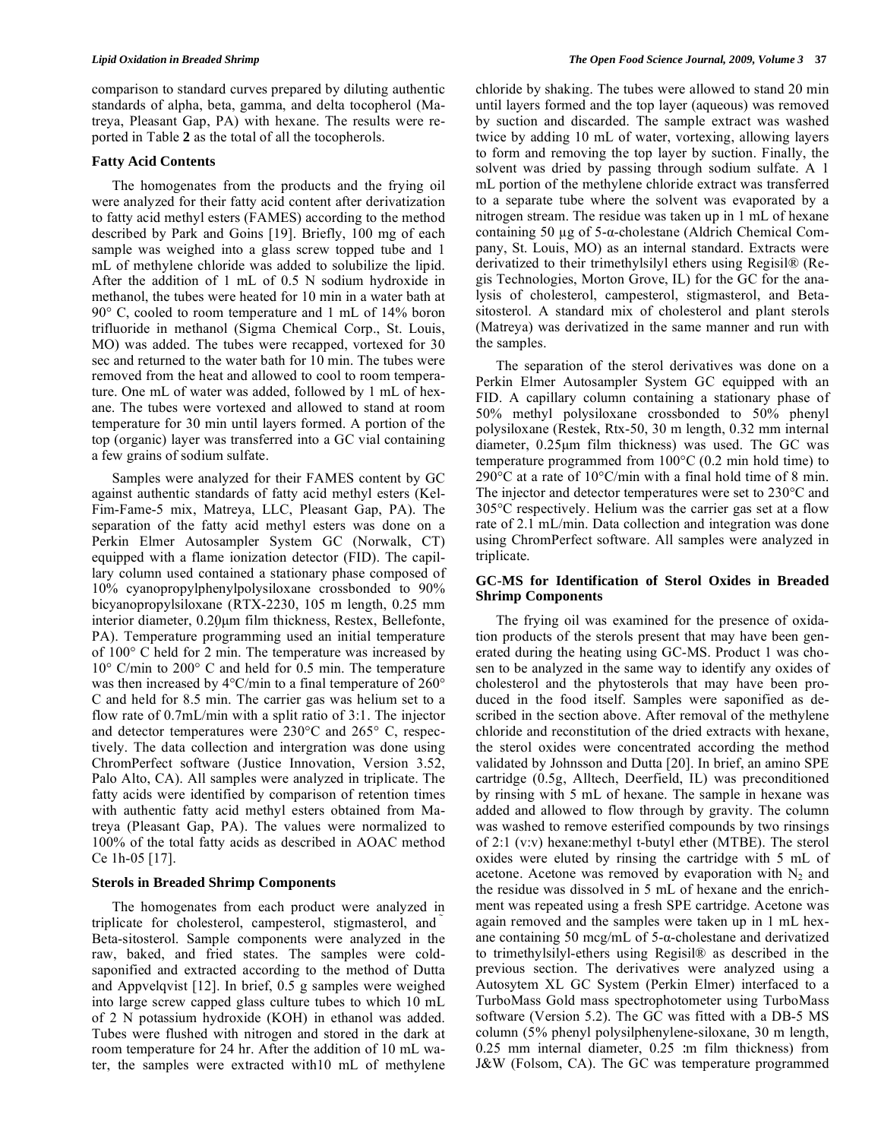comparison to standard curves prepared by diluting authentic standards of alpha, beta, gamma, and delta tocopherol (Matreya, Pleasant Gap, PA) with hexane. The results were reported in Table **2** as the total of all the tocopherols.

#### **Fatty Acid Contents**

The homogenates from the products and the frying oil were analyzed for their fatty acid content after derivatization to fatty acid methyl esters (FAMES) according to the method described by Park and Goins [19]. Briefly, 100 mg of each sample was weighed into a glass screw topped tube and 1 mL of methylene chloride was added to solubilize the lipid. After the addition of 1 mL of 0.5 N sodium hydroxide in methanol, the tubes were heated for 10 min in a water bath at 90° C, cooled to room temperature and 1 mL of 14% boron trifluoride in methanol (Sigma Chemical Corp., St. Louis, MO) was added. The tubes were recapped, vortexed for 30 sec and returned to the water bath for 10 min. The tubes were removed from the heat and allowed to cool to room temperature. One mL of water was added, followed by 1 mL of hexane. The tubes were vortexed and allowed to stand at room temperature for 30 min until layers formed. A portion of the top (organic) layer was transferred into a GC vial containing a few grains of sodium sulfate.

Samples were analyzed for their FAMES content by GC against authentic standards of fatty acid methyl esters (Kel-Fim-Fame-5 mix, Matreya, LLC, Pleasant Gap, PA). The separation of the fatty acid methyl esters was done on a Perkin Elmer Autosampler System GC (Norwalk, CT) equipped with a flame ionization detector (FID). The capillary column used contained a stationary phase composed of 10% cyanopropylphenylpolysiloxane crossbonded to 90% bicyanopropylsiloxane (RTX-2230, 105 m length, 0.25 mm interior diameter, 0.20μm film thickness, Restex, Bellefonte, PA). Temperature programming used an initial temperature of 100° C held for 2 min. The temperature was increased by 10° C/min to 200° C and held for 0.5 min. The temperature was then increased by 4°C/min to a final temperature of 260° C and held for 8.5 min. The carrier gas was helium set to a flow rate of 0.7mL/min with a split ratio of 3:1. The injector and detector temperatures were 230°C and 265° C, respectively. The data collection and intergration was done using ChromPerfect software (Justice Innovation, Version 3.52, Palo Alto, CA). All samples were analyzed in triplicate. The fatty acids were identified by comparison of retention times with authentic fatty acid methyl esters obtained from Matreya (Pleasant Gap, PA). The values were normalized to 100% of the total fatty acids as described in AOAC method Ce 1h-05 [17].

# **Sterols in Breaded Shrimp Components**

The homogenates from each product were analyzed in triplicate for cholesterol, campesterol, stigmasterol, and Beta-sitosterol. Sample components were analyzed in the raw, baked, and fried states. The samples were coldsaponified and extracted according to the method of Dutta and Appvelqvist [12]. In brief, 0.5 g samples were weighed into large screw capped glass culture tubes to which 10 mL of 2 N potassium hydroxide (KOH) in ethanol was added. Tubes were flushed with nitrogen and stored in the dark at room temperature for 24 hr. After the addition of 10 mL water, the samples were extracted with10 mL of methylene

chloride by shaking. The tubes were allowed to stand 20 min until layers formed and the top layer (aqueous) was removed by suction and discarded. The sample extract was washed twice by adding 10 mL of water, vortexing, allowing layers to form and removing the top layer by suction. Finally, the solvent was dried by passing through sodium sulfate. A 1 mL portion of the methylene chloride extract was transferred to a separate tube where the solvent was evaporated by a nitrogen stream. The residue was taken up in 1 mL of hexane containing 50  $\mu$ g of 5- $\alpha$ -cholestane (Aldrich Chemical Company, St. Louis, MO) as an internal standard. Extracts were derivatized to their trimethylsilyl ethers using Regisil® (Regis Technologies, Morton Grove, IL) for the GC for the analysis of cholesterol, campesterol, stigmasterol, and Betasitosterol. A standard mix of cholesterol and plant sterols (Matreya) was derivatized in the same manner and run with the samples.

The separation of the sterol derivatives was done on a Perkin Elmer Autosampler System GC equipped with an FID. A capillary column containing a stationary phase of 50% methyl polysiloxane crossbonded to 50% phenyl polysiloxane (Restek, Rtx-50, 30 m length, 0.32 mm internal diameter, 0.25μm film thickness) was used. The GC was temperature programmed from 100°C (0.2 min hold time) to 290°C at a rate of 10°C/min with a final hold time of 8 min. The injector and detector temperatures were set to 230°C and 305°C respectively. Helium was the carrier gas set at a flow rate of 2.1 mL/min. Data collection and integration was done using ChromPerfect software. All samples were analyzed in triplicate.

## **GC-MS for Identification of Sterol Oxides in Breaded Shrimp Components**

The frying oil was examined for the presence of oxidation products of the sterols present that may have been generated during the heating using GC-MS. Product 1 was chosen to be analyzed in the same way to identify any oxides of cholesterol and the phytosterols that may have been produced in the food itself. Samples were saponified as described in the section above. After removal of the methylene chloride and reconstitution of the dried extracts with hexane, the sterol oxides were concentrated according the method validated by Johnsson and Dutta [20]. In brief, an amino SPE cartridge (0.5g, Alltech, Deerfield, IL) was preconditioned by rinsing with 5 mL of hexane. The sample in hexane was added and allowed to flow through by gravity. The column was washed to remove esterified compounds by two rinsings of 2:1 (v:v) hexane:methyl t-butyl ether (MTBE). The sterol oxides were eluted by rinsing the cartridge with 5 mL of acetone. Acetone was removed by evaporation with  $N_2$  and the residue was dissolved in 5 mL of hexane and the enrichment was repeated using a fresh SPE cartridge. Acetone was again removed and the samples were taken up in 1 mL hexane containing 50 mcg/mL of  $5-\alpha$ -cholestane and derivatized to trimethylsilyl-ethers using Regisil® as described in the previous section. The derivatives were analyzed using a Autosytem XL GC System (Perkin Elmer) interfaced to a TurboMass Gold mass spectrophotometer using TurboMass software (Version 5.2). The GC was fitted with a DB-5 MS column (5% phenyl polysilphenylene-siloxane, 30 m length, 0.25 mm internal diameter, 0.25 :m film thickness) from J&W (Folsom, CA). The GC was temperature programmed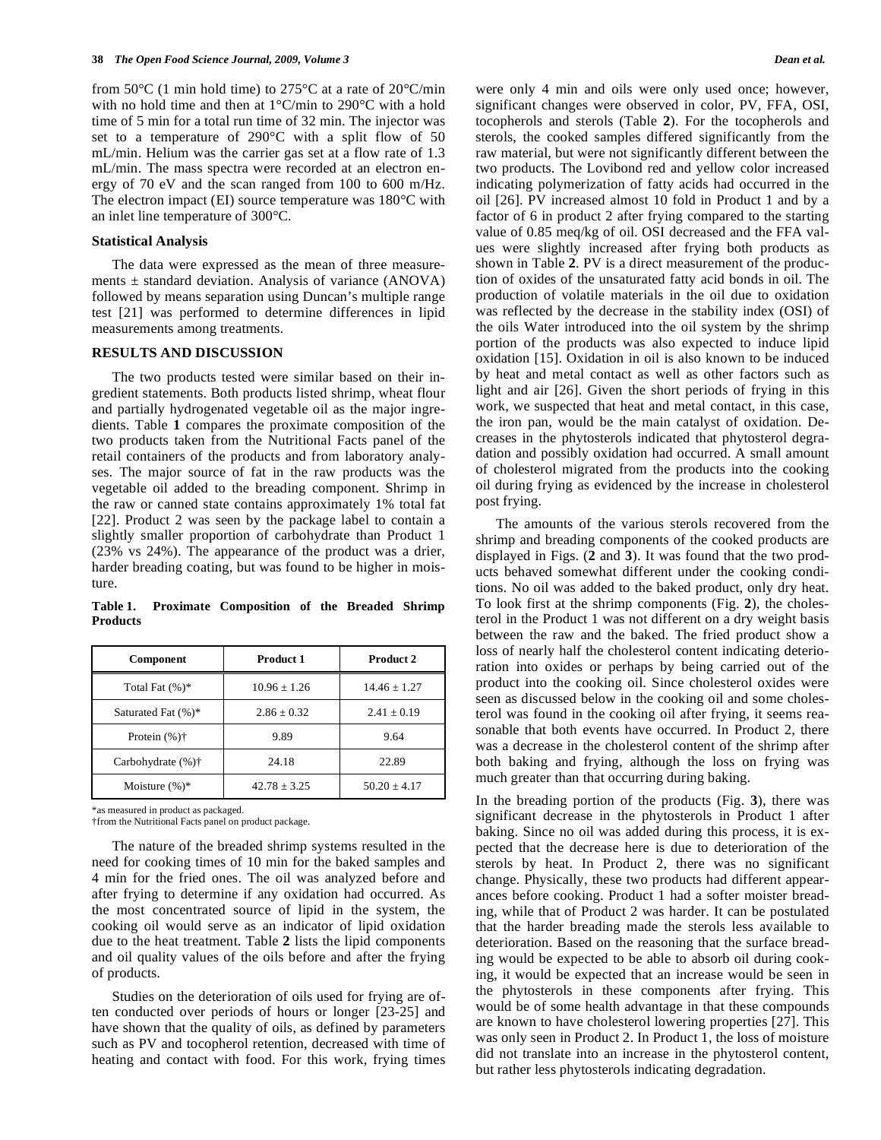from 50 $\degree$ C (1 min hold time) to 275 $\degree$ C at a rate of 20 $\degree$ C/min with no hold time and then at 1°C/min to 290°C with a hold time of 5 min for a total run time of 32 min. The injector was set to a temperature of 290°C with a split flow of 50 mL/min. Helium was the carrier gas set at a flow rate of 1.3 mL/min. The mass spectra were recorded at an electron energy of 70 eV and the scan ranged from 100 to 600 m/Hz. The electron impact (EI) source temperature was 180°C with an inlet line temperature of 300°C.

#### **Statistical Analysis**

The data were expressed as the mean of three measurements  $\pm$  standard deviation. Analysis of variance (ANOVA) followed by means separation using Duncan's multiple range test [21] was performed to determine differences in lipid measurements among treatments.

#### **RESULTS AND DISCUSSION**

The two products tested were similar based on their ingredient statements. Both products listed shrimp, wheat flour and partially hydrogenated vegetable oil as the major ingredients. Table **1** compares the proximate composition of the two products taken from the Nutritional Facts panel of the retail containers of the products and from laboratory analyses. The major source of fat in the raw products was the vegetable oil added to the breading component. Shrimp in the raw or canned state contains approximately 1% total fat [22]. Product 2 was seen by the package label to contain a slightly smaller proportion of carbohydrate than Product 1 (23% vs 24%). The appearance of the product was a drier, harder breading coating, but was found to be higher in moisture.

**Table 1. Proximate Composition of the Breaded Shrimp Products** 

| <b>Component</b>           | Product 1      | <b>Product 2</b> |
|----------------------------|----------------|------------------|
| Total Fat $(\%)^*$         | $10.96 + 1.26$ | $14.46 + 1.27$   |
| Saturated Fat $(\%)^*$     | $2.86 + 0.32$  | $2.41 \pm 0.19$  |
| Protein $(\% )\dagger$     | 9.89           | 9.64             |
| Carbohydrate $(\%)\dagger$ | 24.18          | 22.89            |
| Moisture $(\%)^*$          | $42.78 + 3.25$ | $50.20 + 4.17$   |

\*as measured in product as packaged.

†from the Nutritional Facts panel on product package.

The nature of the breaded shrimp systems resulted in the need for cooking times of 10 min for the baked samples and 4 min for the fried ones. The oil was analyzed before and after frying to determine if any oxidation had occurred. As the most concentrated source of lipid in the system, the cooking oil would serve as an indicator of lipid oxidation due to the heat treatment. Table **2** lists the lipid components and oil quality values of the oils before and after the frying of products.

Studies on the deterioration of oils used for frying are often conducted over periods of hours or longer [23-25] and have shown that the quality of oils, as defined by parameters such as PV and tocopherol retention, decreased with time of heating and contact with food. For this work, frying times

were only 4 min and oils were only used once; however, significant changes were observed in color, PV, FFA, OSI, tocopherols and sterols (Table **2**). For the tocopherols and sterols, the cooked samples differed significantly from the raw material, but were not significantly different between the two products. The Lovibond red and yellow color increased indicating polymerization of fatty acids had occurred in the oil [26]. PV increased almost 10 fold in Product 1 and by a factor of 6 in product 2 after frying compared to the starting value of 0.85 meq/kg of oil. OSI decreased and the FFA values were slightly increased after frying both products as shown in Table **2**. PV is a direct measurement of the production of oxides of the unsaturated fatty acid bonds in oil. The production of volatile materials in the oil due to oxidation was reflected by the decrease in the stability index (OSI) of the oils Water introduced into the oil system by the shrimp portion of the products was also expected to induce lipid oxidation [15]. Oxidation in oil is also known to be induced by heat and metal contact as well as other factors such as light and air [26]. Given the short periods of frying in this work, we suspected that heat and metal contact, in this case, the iron pan, would be the main catalyst of oxidation. Decreases in the phytosterols indicated that phytosterol degradation and possibly oxidation had occurred. A small amount of cholesterol migrated from the products into the cooking oil during frying as evidenced by the increase in cholesterol post frying.

The amounts of the various sterols recovered from the shrimp and breading components of the cooked products are displayed in Figs. (**2** and **3**). It was found that the two products behaved somewhat different under the cooking conditions. No oil was added to the baked product, only dry heat. To look first at the shrimp components (Fig. **2**), the cholesterol in the Product 1 was not different on a dry weight basis between the raw and the baked. The fried product show a loss of nearly half the cholesterol content indicating deterioration into oxides or perhaps by being carried out of the product into the cooking oil. Since cholesterol oxides were seen as discussed below in the cooking oil and some cholesterol was found in the cooking oil after frying, it seems reasonable that both events have occurred. In Product 2, there was a decrease in the cholesterol content of the shrimp after both baking and frying, although the loss on frying was much greater than that occurring during baking.

In the breading portion of the products (Fig. **3**), there was significant decrease in the phytosterols in Product 1 after baking. Since no oil was added during this process, it is expected that the decrease here is due to deterioration of the sterols by heat. In Product 2, there was no significant change. Physically, these two products had different appearances before cooking. Product 1 had a softer moister breading, while that of Product 2 was harder. It can be postulated that the harder breading made the sterols less available to deterioration. Based on the reasoning that the surface breading would be expected to be able to absorb oil during cooking, it would be expected that an increase would be seen in the phytosterols in these components after frying. This would be of some health advantage in that these compounds are known to have cholesterol lowering properties [27]. This was only seen in Product 2. In Product 1, the loss of moisture did not translate into an increase in the phytosterol content, but rather less phytosterols indicating degradation.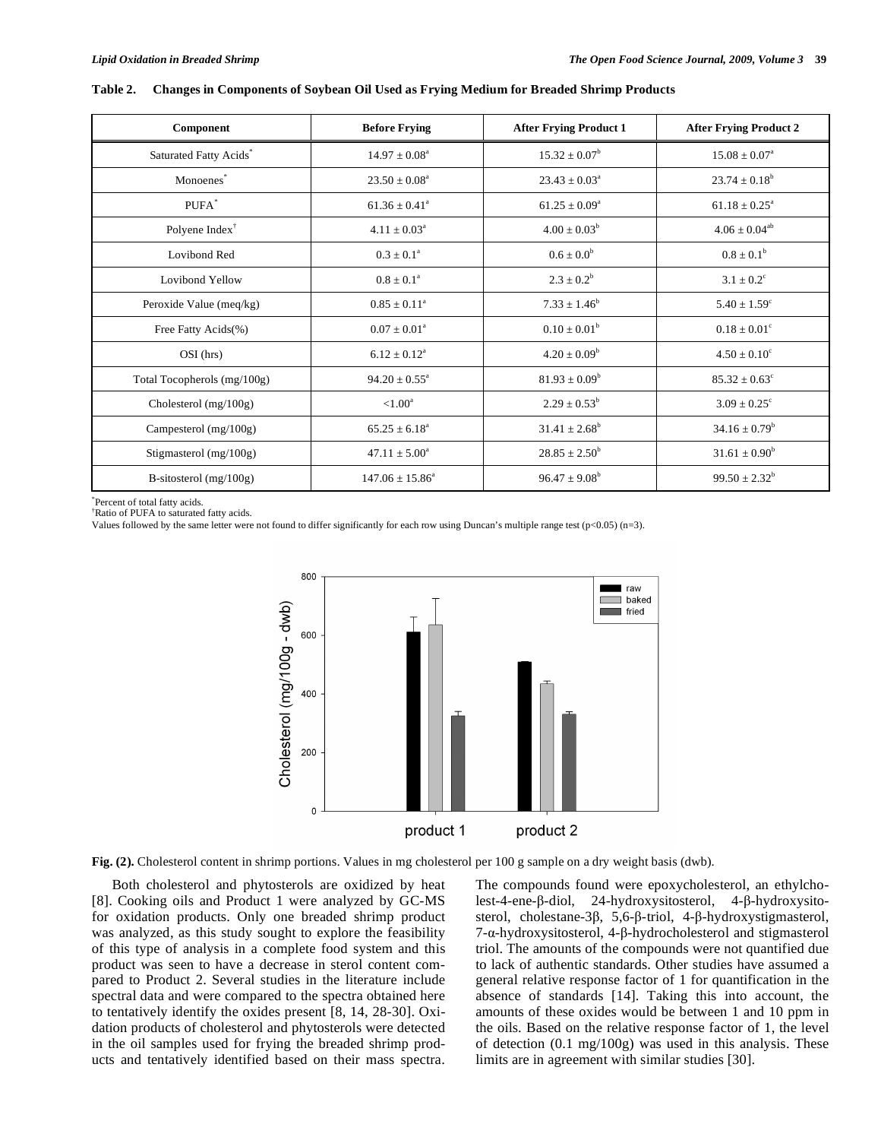| Component                          | <b>Before Frying</b>       | <b>After Frying Product 1</b> | <b>After Frying Product 2</b> |
|------------------------------------|----------------------------|-------------------------------|-------------------------------|
| Saturated Fatty Acids <sup>*</sup> | $14.97 \pm 0.08^{\circ}$   | $15.32 \pm 0.07^{\rm b}$      | $15.08 \pm 0.07^{\circ}$      |
| Monoenes*                          | $23.50 \pm 0.08^a$         | $23.43 \pm 0.03^{\circ}$      | $23.74 \pm 0.18^b$            |
| PUFA*                              | $61.36 \pm 0.41^{\circ}$   | $61.25 \pm 0.09^a$            | $61.18 \pm 0.25^a$            |
| Polyene Index $†$                  | $4.11 \pm 0.03^{\text{a}}$ | $4.00 \pm 0.03^b$             | $4.06 \pm 0.04^{ab}$          |
| Lovibond Red                       | $0.3 \pm 0.1^{\circ}$      | $0.6 \pm 0.0^b$               | $0.8 \pm 0.1^{\rm b}$         |
| Lovibond Yellow                    | $0.8 \pm 0.1^{\circ}$      | $2.3 \pm 0.2^b$               | $3.1 \pm 0.2^{\circ}$         |
| Peroxide Value (meq/kg)            | $0.85 \pm 0.11^{\circ}$    | $7.33 \pm 1.46^b$             | $5.40 \pm 1.59^{\circ}$       |
| Free Fatty Acids(%)                | $0.07 \pm 0.01^{\text{a}}$ | $0.10 \pm 0.01^b$             | $0.18 \pm 0.01^{\circ}$       |
| $OSI$ (hrs)                        | $6.12 \pm 0.12^a$          | $4.20 \pm 0.09^b$             | $4.50 \pm 0.10^c$             |
| Total Tocopherols (mg/100g)        | $94.20 \pm 0.55^{\circ}$   | $81.93 \pm 0.09^b$            | $85.32 \pm 0.63^{\circ}$      |
| Cholesterol $(mg/100g)$            | ${<}1.00$ <sup>a</sup>     | $2.29 \pm 0.53^b$             | $3.09 \pm 0.25^{\circ}$       |
| Campesterol (mg/100g)              | $65.25 \pm 6.18^a$         | $31.41 \pm 2.68^b$            | $34.16 \pm 0.79^b$            |
| Stigmasterol (mg/100g)             | $47.11 \pm 5.00^a$         | $28.85 \pm 2.50^b$            | $31.61 \pm 0.90^b$            |
| B-sitosterol $(mg/100g)$           | $147.06 \pm 15.86^a$       | $96.47 \pm 9.08^b$            | $99.50 \pm 2.32^b$            |

#### **Table 2. Changes in Components of Soybean Oil Used as Frying Medium for Breaded Shrimp Products**

\* Percent of total fatty acids.

† Ratio of PUFA to saturated fatty acids.

Values followed by the same letter were not found to differ significantly for each row using Duncan's multiple range test  $(p<0.05)$  (n=3).



**Fig. (2).** Cholesterol content in shrimp portions. Values in mg cholesterol per 100 g sample on a dry weight basis (dwb).

Both cholesterol and phytosterols are oxidized by heat [8]. Cooking oils and Product 1 were analyzed by GC-MS for oxidation products. Only one breaded shrimp product was analyzed, as this study sought to explore the feasibility of this type of analysis in a complete food system and this product was seen to have a decrease in sterol content compared to Product 2. Several studies in the literature include spectral data and were compared to the spectra obtained here to tentatively identify the oxides present [8, 14, 28-30]. Oxidation products of cholesterol and phytosterols were detected in the oil samples used for frying the breaded shrimp products and tentatively identified based on their mass spectra. The compounds found were epoxycholesterol, an ethylcholest-4-ene- $\beta$ -diol, 24-hydroxysitosterol, 4- $\beta$ -hydroxysitosterol, cholestane-3 $\beta$ , 5,6- $\beta$ -triol, 4- $\beta$ -hydroxystigmasterol, 7-α-hydroxysitosterol, 4-β-hydrocholesterol and stigmasterol triol. The amounts of the compounds were not quantified due to lack of authentic standards. Other studies have assumed a general relative response factor of 1 for quantification in the absence of standards [14]. Taking this into account, the amounts of these oxides would be between 1 and 10 ppm in the oils. Based on the relative response factor of 1, the level of detection (0.1 mg/100g) was used in this analysis. These limits are in agreement with similar studies [30].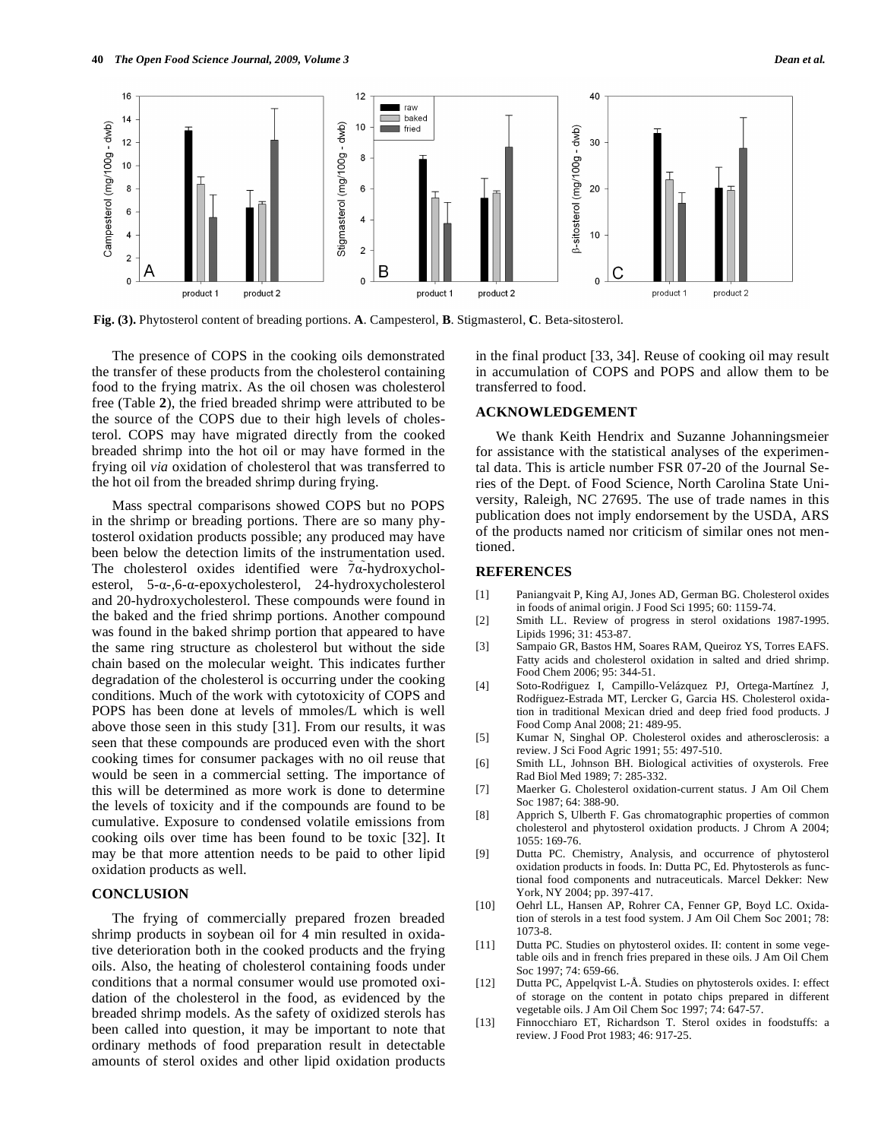

**Fig. (3).** Phytosterol content of breading portions. **A**. Campesterol, **B**. Stigmasterol, **C**. Beta-sitosterol.

The presence of COPS in the cooking oils demonstrated the transfer of these products from the cholesterol containing food to the frying matrix. As the oil chosen was cholesterol free (Table **2**), the fried breaded shrimp were attributed to be the source of the COPS due to their high levels of cholesterol. COPS may have migrated directly from the cooked breaded shrimp into the hot oil or may have formed in the frying oil *via* oxidation of cholesterol that was transferred to the hot oil from the breaded shrimp during frying.

Mass spectral comparisons showed COPS but no POPS in the shrimp or breading portions. There are so many phytosterol oxidation products possible; any produced may have been below the detection limits of the instrumentation used. The cholesterol oxides identified were  $7\alpha$ -hydroxycholesterol,  $5-\alpha$ -,6- $\alpha$ -epoxycholesterol, 24-hydroxycholesterol and 20-hydroxycholesterol. These compounds were found in the baked and the fried shrimp portions. Another compound was found in the baked shrimp portion that appeared to have the same ring structure as cholesterol but without the side chain based on the molecular weight. This indicates further degradation of the cholesterol is occurring under the cooking conditions. Much of the work with cytotoxicity of COPS and POPS has been done at levels of mmoles/L which is well above those seen in this study [31]. From our results, it was seen that these compounds are produced even with the short cooking times for consumer packages with no oil reuse that would be seen in a commercial setting. The importance of this will be determined as more work is done to determine the levels of toxicity and if the compounds are found to be cumulative. Exposure to condensed volatile emissions from cooking oils over time has been found to be toxic [32]. It may be that more attention needs to be paid to other lipid oxidation products as well.

# **CONCLUSION**

The frying of commercially prepared frozen breaded shrimp products in soybean oil for 4 min resulted in oxidative deterioration both in the cooked products and the frying oils. Also, the heating of cholesterol containing foods under conditions that a normal consumer would use promoted oxidation of the cholesterol in the food, as evidenced by the breaded shrimp models. As the safety of oxidized sterols has been called into question, it may be important to note that ordinary methods of food preparation result in detectable amounts of sterol oxides and other lipid oxidation products in the final product [33, 34]. Reuse of cooking oil may result in accumulation of COPS and POPS and allow them to be transferred to food.

# **ACKNOWLEDGEMENT**

We thank Keith Hendrix and Suzanne Johanningsmeier for assistance with the statistical analyses of the experimental data. This is article number FSR 07-20 of the Journal Series of the Dept. of Food Science, North Carolina State University, Raleigh, NC 27695. The use of trade names in this publication does not imply endorsement by the USDA, ARS of the products named nor criticism of similar ones not mentioned.

#### **REFERENCES**

- [1] Paniangvait P, King AJ, Jones AD, German BG. Cholesterol oxides in foods of animal origin. J Food Sci 1995; 60: 1159-74.
- [2] Smith LL. Review of progress in sterol oxidations 1987-1995. Lipids 1996; 31: 453-87.
- [3] Sampaio GR, Bastos HM, Soares RAM, Queiroz YS, Torres EAFS. Fatty acids and cholesterol oxidation in salted and dried shrimp. Food Chem 2006; 95: 344-51.
- [4] Soto-Rodiguez I, Campillo-Velázquez PJ, Ortega-Martínez J, Rodfiguez-Estrada MT, Lercker G, Garcia HS. Cholesterol oxidation in traditional Mexican dried and deep fried food products. J Food Comp Anal 2008; 21: 489-95.
- [5] Kumar N, Singhal OP. Cholesterol oxides and atherosclerosis: a review. J Sci Food Agric 1991; 55: 497-510.
- [6] Smith LL, Johnson BH. Biological activities of oxysterols. Free Rad Biol Med 1989; 7: 285-332.
- [7] Maerker G. Cholesterol oxidation-current status. J Am Oil Chem Soc 1987; 64: 388-90.
- [8] Apprich S, Ulberth F. Gas chromatographic properties of common cholesterol and phytosterol oxidation products. J Chrom A 2004; 1055: 169-76.
- [9] Dutta PC. Chemistry, Analysis, and occurrence of phytosterol oxidation products in foods*.* In: Dutta PC, Ed. Phytosterols as functional food components and nutraceuticals. Marcel Dekker: New York, NY 2004; pp. 397-417.
- [10] Oehrl LL, Hansen AP, Rohrer CA, Fenner GP, Boyd LC. Oxidation of sterols in a test food system. J Am Oil Chem Soc 2001; 78: 1073-8.
- [11] Dutta PC. Studies on phytosterol oxides. II: content in some vegetable oils and in french fries prepared in these oils. J Am Oil Chem Soc 1997; 74: 659-66.
- [12] Dutta PC, Appelqvist L-Å. Studies on phytosterols oxides. I: effect of storage on the content in potato chips prepared in different vegetable oils. J Am Oil Chem Soc 1997; 74: 647-57.
- [13] Finnocchiaro ET, Richardson T. Sterol oxides in foodstuffs: a review. J Food Prot 1983; 46: 917-25.